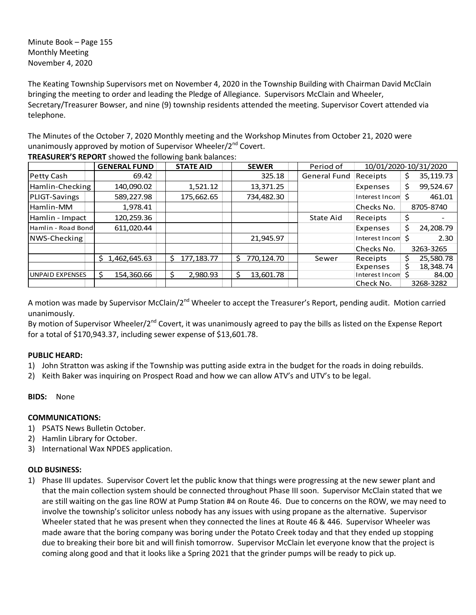Minute Book – Page 155 Monthly Meeting November 4, 2020

The Keating Township Supervisors met on November 4, 2020 in the Township Building with Chairman David McClain bringing the meeting to order and leading the Pledge of Allegiance. Supervisors McClain and Wheeler, Secretary/Treasurer Bowser, and nine (9) township residents attended the meeting. Supervisor Covert attended via telephone.

The Minutes of the October 7, 2020 Monthly meeting and the Workshop Minutes from October 21, 2020 were unanimously approved by motion of Supervisor Wheeler/2<sup>nd</sup> Covert.

|                    | <b>GENERAL FUND</b> | <b>STATE AID</b>   | <b>SEWER</b>     | Period of           | 10/01/2020-10/31/2020       |                  |
|--------------------|---------------------|--------------------|------------------|---------------------|-----------------------------|------------------|
| Petty Cash         | 69.42               |                    | 325.18           | <b>General Fund</b> | Receipts                    | 35,119.73<br>\$. |
| Hamlin-Checking    | 140,090.02          | 1,521.12           | 13,371.25        |                     | Expenses                    | \$<br>99,524.67  |
| PLIGT-Savings      | 589,227.98          | 175,662.65         | 734,482.30       |                     | Interest Incom <sup>5</sup> | 461.01           |
| Hamlin-MM          | 1,978.41            |                    |                  |                     | Checks No.                  | 8705-8740        |
| Hamlin - Impact    | 120,259.36          |                    |                  | State Aid           | Receipts                    | Ş                |
| Hamlin - Road Bond | 611,020.44          |                    |                  |                     | Expenses                    | \$<br>24,208.79  |
| NWS-Checking       |                     |                    | 21,945.97        |                     | Interest Incom \$           | 2.30             |
|                    |                     |                    |                  |                     | Checks No.                  | 3263-3265        |
|                    | 1,462,645.63<br>Ŝ.  | 177, 183. 77<br>Š. | 770,124.70<br>ς. | Sewer               | Receipts                    | 25,580.78<br>\$  |
|                    |                     |                    |                  |                     | Expenses                    | \$<br>18,348.74  |
| UNPAID EXPENSES    | 154,360.66          | 2,980.93           | 13,601.78        |                     | Interest Incom \$           | 84.00            |
|                    |                     |                    |                  |                     | Check No.                   | 3268-3282        |

**TREASURER'S REPORT** showed the following bank balances:

A motion was made by Supervisor McClain/2<sup>nd</sup> Wheeler to accept the Treasurer's Report, pending audit. Motion carried unanimously.

By motion of Supervisor Wheeler/2<sup>nd</sup> Covert, it was unanimously agreed to pay the bills as listed on the Expense Report for a total of \$170,943.37, including sewer expense of \$13,601.78.

# **PUBLIC HEARD:**

- 1) John Stratton was asking if the Township was putting aside extra in the budget for the roads in doing rebuilds.
- 2) Keith Baker was inquiring on Prospect Road and how we can allow ATV's and UTV's to be legal.

## **BIDS:** None

## **COMMUNICATIONS:**

- 1) PSATS News Bulletin October.
- 2) Hamlin Library for October.
- 3) International Wax NPDES application.

## **OLD BUSINESS:**

1) Phase III updates. Supervisor Covert let the public know that things were progressing at the new sewer plant and that the main collection system should be connected throughout Phase III soon. Supervisor McClain stated that we are still waiting on the gas line ROW at Pump Station #4 on Route 46. Due to concerns on the ROW, we may need to involve the township's solicitor unless nobody has any issues with using propane as the alternative. Supervisor Wheeler stated that he was present when they connected the lines at Route 46 & 446. Supervisor Wheeler was made aware that the boring company was boring under the Potato Creek today and that they ended up stopping due to breaking their bore bit and will finish tomorrow. Supervisor McClain let everyone know that the project is coming along good and that it looks like a Spring 2021 that the grinder pumps will be ready to pick up.